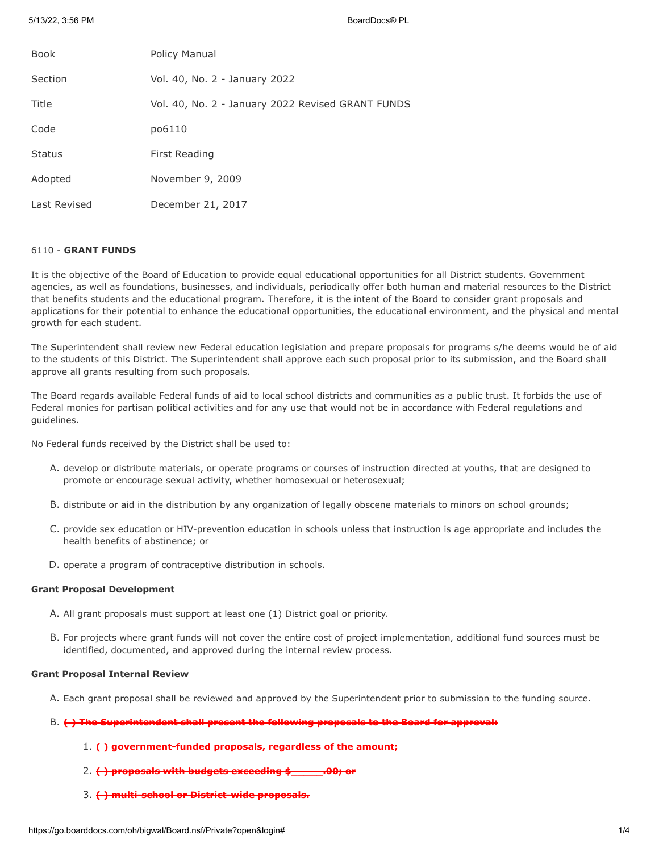5/13/22, 3:56 PM BoardDocs® PL

| <b>Book</b>   | Policy Manual                                     |
|---------------|---------------------------------------------------|
| Section       | Vol. 40, No. 2 - January 2022                     |
| Title         | Vol. 40, No. 2 - January 2022 Revised GRANT FUNDS |
| Code          | po6110                                            |
| <b>Status</b> | First Reading                                     |
| Adopted       | November 9, 2009                                  |
| Last Revised  | December 21, 2017                                 |

# 6110 - **GRANT FUNDS**

It is the objective of the Board of Education to provide equal educational opportunities for all District students. Government agencies, as well as foundations, businesses, and individuals, periodically offer both human and material resources to the District that benefits students and the educational program. Therefore, it is the intent of the Board to consider grant proposals and applications for their potential to enhance the educational opportunities, the educational environment, and the physical and mental growth for each student.

The Superintendent shall review new Federal education legislation and prepare proposals for programs s/he deems would be of aid to the students of this District. The Superintendent shall approve each such proposal prior to its submission, and the Board shall approve all grants resulting from such proposals.

The Board regards available Federal funds of aid to local school districts and communities as a public trust. It forbids the use of Federal monies for partisan political activities and for any use that would not be in accordance with Federal regulations and guidelines.

No Federal funds received by the District shall be used to:

- A. develop or distribute materials, or operate programs or courses of instruction directed at youths, that are designed to promote or encourage sexual activity, whether homosexual or heterosexual;
- B. distribute or aid in the distribution by any organization of legally obscene materials to minors on school grounds;
- C. provide sex education or HIV-prevention education in schools unless that instruction is age appropriate and includes the health benefits of abstinence; or
- D. operate a program of contraceptive distribution in schools.

### **Grant Proposal Development**

- A. All grant proposals must support at least one (1) District goal or priority.
- B. For projects where grant funds will not cover the entire cost of project implementation, additional fund sources must be identified, documented, and approved during the internal review process.

## **Grant Proposal Internal Review**

- A. Each grant proposal shall be reviewed and approved by the Superintendent prior to submission to the funding source.
- B. **( ) The Superintendent shall present the following proposals to the Board for approval:**
	- 1. **( ) government-funded proposals, regardless of the amount;**
	- 2. **( ) proposals with budgets exceeding \$\_\_\_\_\_.00; or**
	- 3. **( ) multi-school or District-wide proposals.**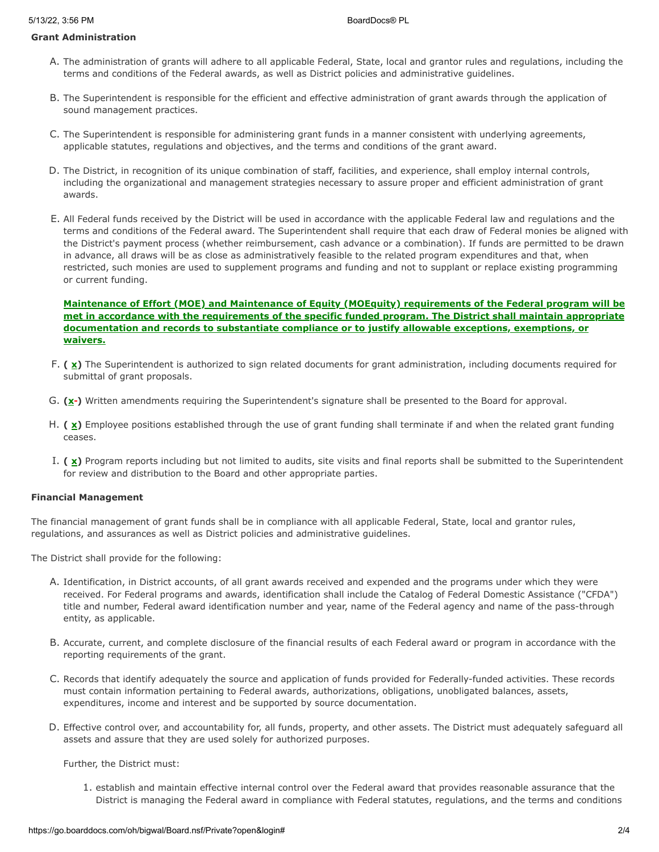# **Grant Administration**

- A. The administration of grants will adhere to all applicable Federal, State, local and grantor rules and regulations, including the terms and conditions of the Federal awards, as well as District policies and administrative guidelines.
- B. The Superintendent is responsible for the efficient and effective administration of grant awards through the application of sound management practices.
- C. The Superintendent is responsible for administering grant funds in a manner consistent with underlying agreements, applicable statutes, regulations and objectives, and the terms and conditions of the grant award.
- D. The District, in recognition of its unique combination of staff, facilities, and experience, shall employ internal controls, including the organizational and management strategies necessary to assure proper and efficient administration of grant awards.
- E. All Federal funds received by the District will be used in accordance with the applicable Federal law and regulations and the terms and conditions of the Federal award. The Superintendent shall require that each draw of Federal monies be aligned with the District's payment process (whether reimbursement, cash advance or a combination). If funds are permitted to be drawn in advance, all draws will be as close as administratively feasible to the related program expenditures and that, when restricted, such monies are used to supplement programs and funding and not to supplant or replace existing programming or current funding.

# **Maintenance of Effort (MOE) and Maintenance of Equity (MOEquity) requirements of the Federal program will be met in accordance with the requirements of the specific funded program. The District shall maintain appropriate documentation and records to substantiate compliance or to justify allowable exceptions, exemptions, or waivers.**

- F. (  $\underline{x}$ ) The Superintendent is authorized to sign related documents for grant administration, including documents required for submittal of grant proposals.
- G. (x<sup>-</sup>) Written amendments requiring the Superintendent's signature shall be presented to the Board for approval.
- H. (  $\underline{x}$ ) Employee positions established through the use of grant funding shall terminate if and when the related grant funding ceases.
- I. **( x)** Program reports including but not limited to audits, site visits and final reports shall be submitted to the Superintendent for review and distribution to the Board and other appropriate parties.

## **Financial Management**

The financial management of grant funds shall be in compliance with all applicable Federal, State, local and grantor rules, regulations, and assurances as well as District policies and administrative guidelines.

The District shall provide for the following:

- A. Identification, in District accounts, of all grant awards received and expended and the programs under which they were received. For Federal programs and awards, identification shall include the Catalog of Federal Domestic Assistance ("CFDA") title and number, Federal award identification number and year, name of the Federal agency and name of the pass-through entity, as applicable.
- B. Accurate, current, and complete disclosure of the financial results of each Federal award or program in accordance with the reporting requirements of the grant.
- C. Records that identify adequately the source and application of funds provided for Federally-funded activities. These records must contain information pertaining to Federal awards, authorizations, obligations, unobligated balances, assets, expenditures, income and interest and be supported by source documentation.
- D. Effective control over, and accountability for, all funds, property, and other assets. The District must adequately safeguard all assets and assure that they are used solely for authorized purposes.

### Further, the District must:

1. establish and maintain effective internal control over the Federal award that provides reasonable assurance that the District is managing the Federal award in compliance with Federal statutes, regulations, and the terms and conditions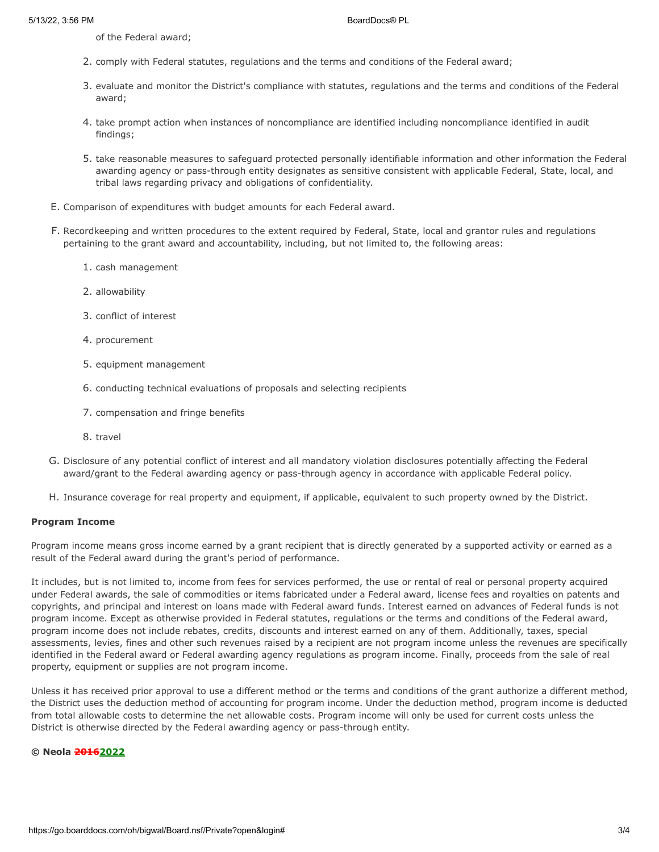of the Federal award;

- 2. comply with Federal statutes, regulations and the terms and conditions of the Federal award;
- 3. evaluate and monitor the District's compliance with statutes, regulations and the terms and conditions of the Federal award;
- 4. take prompt action when instances of noncompliance are identified including noncompliance identified in audit findings;
- 5. take reasonable measures to safeguard protected personally identifiable information and other information the Federal awarding agency or pass-through entity designates as sensitive consistent with applicable Federal, State, local, and tribal laws regarding privacy and obligations of confidentiality.
- E. Comparison of expenditures with budget amounts for each Federal award.
- F. Recordkeeping and written procedures to the extent required by Federal, State, local and grantor rules and regulations pertaining to the grant award and accountability, including, but not limited to, the following areas:
	- 1. cash management
	- 2. allowability
	- 3. conflict of interest
	- 4. procurement
	- 5. equipment management
	- 6. conducting technical evaluations of proposals and selecting recipients
	- 7. compensation and fringe benefits
	- 8. travel
- G. Disclosure of any potential conflict of interest and all mandatory violation disclosures potentially affecting the Federal award/grant to the Federal awarding agency or pass-through agency in accordance with applicable Federal policy.
- H. Insurance coverage for real property and equipment, if applicable, equivalent to such property owned by the District.

#### **Program Income**

Program income means gross income earned by a grant recipient that is directly generated by a supported activity or earned as a result of the Federal award during the grant's period of performance.

It includes, but is not limited to, income from fees for services performed, the use or rental of real or personal property acquired under Federal awards, the sale of commodities or items fabricated under a Federal award, license fees and royalties on patents and copyrights, and principal and interest on loans made with Federal award funds. Interest earned on advances of Federal funds is not program income. Except as otherwise provided in Federal statutes, regulations or the terms and conditions of the Federal award, program income does not include rebates, credits, discounts and interest earned on any of them. Additionally, taxes, special assessments, levies, fines and other such revenues raised by a recipient are not program income unless the revenues are specifically identified in the Federal award or Federal awarding agency regulations as program income. Finally, proceeds from the sale of real property, equipment or supplies are not program income.

Unless it has received prior approval to use a different method or the terms and conditions of the grant authorize a different method, the District uses the deduction method of accounting for program income. Under the deduction method, program income is deducted from total allowable costs to determine the net allowable costs. Program income will only be used for current costs unless the District is otherwise directed by the Federal awarding agency or pass-through entity.

#### **© Neola 20162022**